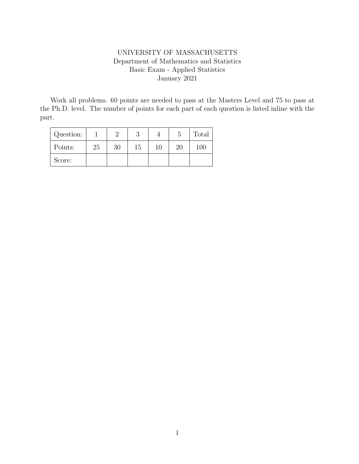## UNIVERSITY OF MASSACHUSETTS Department of Mathematics and Statistics Basic Exam - Applied Statistics January 2021

Work all problems. 60 points are needed to pass at the Masters Level and 75 to pass at the Ph.D. level. The number of points for each part of each question is listed inline with the part.

| Question: |    |    |    |    |    | Total |
|-----------|----|----|----|----|----|-------|
| Points:   | 25 | 30 | 15 | 10 | 20 | 100   |
| Score:    |    |    |    |    |    |       |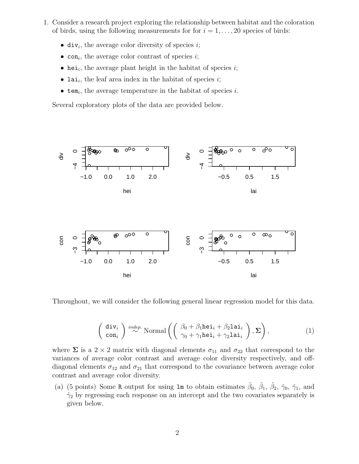- 1. Consider a research project exploring the relationship between habitat and the coloration of birds, using the following measurements for for  $i = 1, \ldots, 20$  species of birds:
	- div<sub>i</sub>, the average color diversity of species *i*;
	- $con_i$ , the average color contrast of species  $i$ ;
	- hei<sub>i</sub>, the average plant height in the habitat of species  $i$ ;
	- lai<sub>i</sub>, the leaf area index in the habitat of species *i*;
	- $\bullet$  tem<sub>i</sub>, the average temperature in the habitat of species i.

Several exploratory plots of the data are provided below.



Throughout, we will consider the following general linear regression model for this data.

$$
\begin{pmatrix} \operatorname{div}_i \\ \operatorname{con}_i \end{pmatrix} \stackrel{indep.}{\sim} \text{Normal}\left( \begin{pmatrix} \beta_0 + \beta_1 \operatorname{hei}_i + \beta_2 \operatorname{lai}_i \\ \gamma_0 + \gamma_1 \operatorname{hei}_i + \gamma_2 \operatorname{lai}_i \end{pmatrix}, \Sigma \right), \tag{1}
$$

where  $\Sigma$  is a 2 × 2 matrix with diagonal elements  $\sigma_{11}$  and  $\sigma_{22}$  that correspond to the variances of average color contrast and average color diversity respectively, and offdiagonal elements  $\sigma_{12}$  and  $\sigma_{21}$  that correspond to the covariance between average color contrast and average color diversity.

(a) (5 points) Some R output for using  $\text{lm}$  to obtain estimates  $\hat{\beta}_0$ ,  $\hat{\beta}_1$ ,  $\hat{\beta}_2$ ,  $\hat{\gamma}_0$ ,  $\hat{\gamma}_1$ , and  $\hat{\gamma}_2$  by regressing each response on an intercept and the two covariates separately is given below.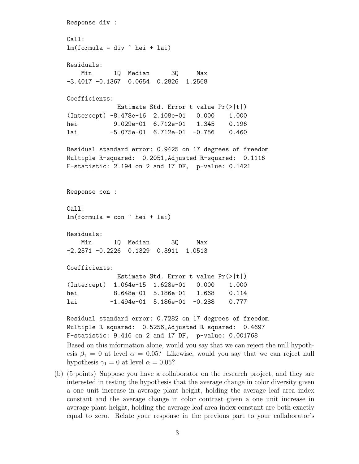```
Response div :
Call:
lm(formula = div \in hei + lai)
Residuals:
   Min 1Q Median 3Q Max
-3.4017 -0.1367 0.0654 0.2826 1.2568
Coefficients:
             Estimate Std. Error t value Pr(>|t|)
(Intercept) -8.478e-16 2.108e-01 0.000 1.000
hei 9.029e-01 6.712e-01 1.345 0.196
lai -5.075e-01 6.712e-01 -0.756 0.460
Residual standard error: 0.9425 on 17 degrees of freedom
Multiple R-squared: 0.2051,Adjusted R-squared: 0.1116
F-statistic: 2.194 on 2 and 17 DF, p-value: 0.1421
Response con :
Call:
lm(formula = con \sim hei + lai)
Residuals:
   Min 1Q Median 3Q Max
-2.2571 -0.2226 0.1329 0.3911 1.0513
Coefficients:
             Estimate Std. Error t value Pr(>|t|)
(Intercept) 1.064e-15 1.628e-01 0.000 1.000
hei 8.648e-01 5.186e-01 1.668 0.114
lai -1.494e-01 5.186e-01 -0.288 0.777
Residual standard error: 0.7282 on 17 degrees of freedom
Multiple R-squared: 0.5256,Adjusted R-squared: 0.4697
F-statistic: 9.416 on 2 and 17 DF, p-value: 0.001768
Based on this information alone, would you say that we can reject the null hypoth-
esis \beta_1 = 0 at level \alpha = 0.05? Likewise, would you say that we can reject null
hypothesis \gamma_1 = 0 at level \alpha = 0.05?
```
(b) (5 points) Suppose you have a collaborator on the research project, and they are interested in testing the hypothesis that the average change in color diversity given a one unit increase in average plant height, holding the average leaf area index constant and the average change in color contrast given a one unit increase in average plant height, holding the average leaf area index constant are both exactly equal to zero. Relate your response in the previous part to your collaborator's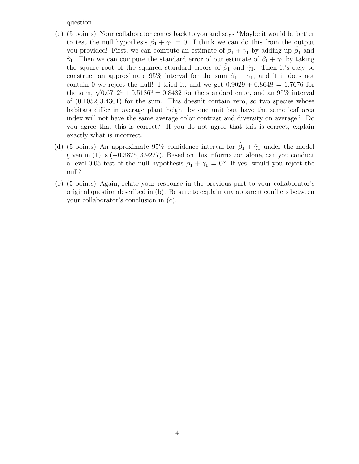question.

- (c) (5 points) Your collaborator comes back to you and says "Maybe it would be better to test the null hypothesis  $\beta_1 + \gamma_1 = 0$ . I think we can do this from the output you provided! First, we can compute an estimate of  $\beta_1 + \gamma_1$  by adding up  $\hat{\beta}_1$  and  $\hat{\gamma}_1$ . Then we can compute the standard error of our estimate of  $\beta_1 + \gamma_1$  by taking the square root of the squared standard errors of  $\hat{\beta}_1$  and  $\hat{\gamma}_1$ . Then it's easy to construct an approximate 95% interval for the sum  $\beta_1 + \gamma_1$ , and if it does not contain 0 we reject the null! I tried it, and we get  $0.9029 + 0.8648 = 1.7676$  for contain 0 we reject the nuil. I tried it, and we get  $0.9029 + 0.8048 = 1.7676$  for<br>the sum,  $\sqrt{0.6712^2 + 0.5186^2} = 0.8482$  for the standard error, and an 95% interval of (0.1052, 3.4301) for the sum. This doesn't contain zero, so two species whose habitats differ in average plant height by one unit but have the same leaf area index will not have the same average color contrast and diversity on average!" Do you agree that this is correct? If you do not agree that this is correct, explain exactly what is incorrect.
- (d) (5 points) An approximate 95% confidence interval for  $\hat{\beta}_1 + \hat{\gamma}_1$  under the model given in (1) is (−0.3875, 3.9227). Based on this information alone, can you conduct a level-0.05 test of the null hypothesis  $\beta_1 + \gamma_1 = 0$ ? If yes, would you reject the null?
- (e) (5 points) Again, relate your response in the previous part to your collaborator's original question described in (b). Be sure to explain any apparent conflicts between your collaborator's conclusion in (c).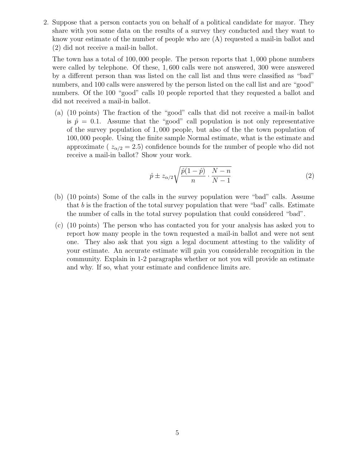2. Suppose that a person contacts you on behalf of a political candidate for mayor. They share with you some data on the results of a survey they conducted and they want to know your estimate of the number of people who are (A) requested a mail-in ballot and (2) did not receive a mail-in ballot.

The town has a total of 100, 000 people. The person reports that 1, 000 phone numbers were called by telephone. Of these, 1, 600 calls were not answered, 300 were answered by a different person than was listed on the call list and thus were classified as "bad" numbers, and 100 calls were answered by the person listed on the call list and are "good" numbers. Of the 100 "good" calls 10 people reported that they requested a ballot and did not received a mail-in ballot.

(a) (10 points) The fraction of the "good" calls that did not receive a mail-in ballot is  $\hat{p} = 0.1$ . Assume that the "good" call population is not only representative of the survey population of 1, 000 people, but also of the the town population of 100, 000 people. Using the finite sample Normal estimate, what is the estimate and approximate ( $z_{\alpha/2} = 2.5$ ) confidence bounds for the number of people who did not receive a mail-in ballot? Show your work.

$$
\hat{p} \pm z_{\alpha/2} \sqrt{\frac{\hat{p}(1-\hat{p})}{n} \cdot \frac{N-n}{N-1}} \tag{2}
$$

- (b) (10 points) Some of the calls in the survey population were "bad" calls. Assume that  $b$  is the fraction of the total survey population that were "bad" calls. Estimate the number of calls in the total survey population that could considered "bad".
- (c) (10 points) The person who has contacted you for your analysis has asked you to report how many people in the town requested a mail-in ballot and were not sent one. They also ask that you sign a legal document attesting to the validity of your estimate. An accurate estimate will gain you considerable recognition in the community. Explain in 1-2 paragraphs whether or not you will provide an estimate and why. If so, what your estimate and confidence limits are.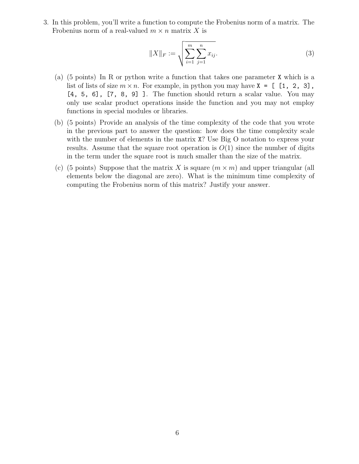3. In this problem, you'll write a function to compute the Frobenius norm of a matrix. The Frobenius norm of a real-valued  $m \times n$  matrix X is

$$
||X||_F := \sqrt{\sum_{i=1}^m \sum_{j=1}^n x_{ij}}.
$$
 (3)

- (a) (5 points) In R or python write a function that takes one parameter X which is a list of lists of size  $m \times n$ . For example, in python you may have  $X = [1, 2, 3]$ , [4, 5, 6], [7, 8, 9] ]. The function should return a scalar value. You may only use scalar product operations inside the function and you may not employ functions in special modules or libraries.
- (b) (5 points) Provide an analysis of the time complexity of the code that you wrote in the previous part to answer the question: how does the time complexity scale with the number of elements in the matrix  $X$ ? Use Big O notation to express your results. Assume that the square root operation is  $O(1)$  since the number of digits in the term under the square root is much smaller than the size of the matrix.
- (c) (5 points) Suppose that the matrix X is square  $(m \times m)$  and upper triangular (all elements below the diagonal are zero). What is the minimum time complexity of computing the Frobenius norm of this matrix? Justify your answer.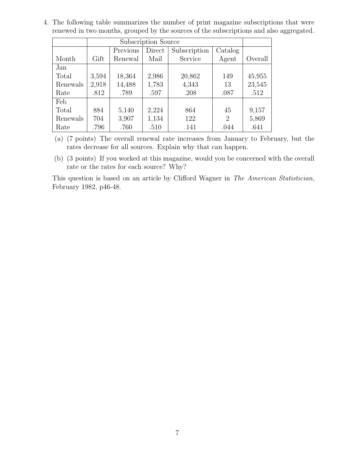4. The following table summarizes the number of print magazine subscriptions that were renewed in two months, grouped by the sources of the subscriptions and also aggregated.

|          |       | Previous | Direct | Subscription | Catalog        |         |
|----------|-------|----------|--------|--------------|----------------|---------|
| Month    | Gift  | Renewal  | Mail   | Service      | Agent          | Overall |
| Jan      |       |          |        |              |                |         |
| Total    | 3,594 | 18,364   | 2,986  | 20,862       | 149            | 45,955  |
| Renewals | 2,918 | 14,488   | 1,783  | 4,343        | 13             | 23,545  |
| Rate     | .812  | .789     | .597   | .208         | .087           | .512    |
| Feb      |       |          |        |              |                |         |
| Total    | 884   | 5,140    | 2,224  | 864          | 45             | 9,157   |
| Renewals | 704   | 3,907    | 1,134  | 122          | $\overline{2}$ | 5,869   |
| Rate     | .796  | .760     | .510   | .141         | .044           | .641    |

(a) (7 points) The overall renewal rate increases from January to February, but the rates decrease for all sources. Explain why that can happen.

(b) (3 points) If you worked at this magazine, would you be concerned with the overall rate or the rates for each source? Why?

This question is based on an article by Clifford Wagner in The American Statistician, February 1982, p46-48.